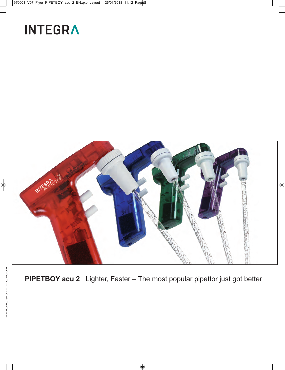# **INTEGRA**



**PIPETBOY acu 2** Lighter, Faster – The most popular pipettor just got better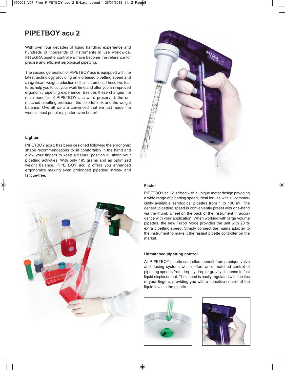### **PIPETBOY acu 2**

With over four decades of liquid handling experience and hundreds of thousands of instruments in use worldwide, INTEGRA pipette controllers have become the reference for precise and efficient serological pipetting.

The second generation of PIPETBOY acu is equipped with the latest technology providing an increased pipetting speed and a significant weight reduction of the instrument. These two features help you to cut your work time and offer you an improved ergonomic pipetting experience. Besides these changes the main benefits of PIPETBOY acu were preserved: the unmatched pipetting precision, the colorful look and the weight balance. Overall we are convinced that we just made the world's most popular pipettor even better!

#### **Lighter**

PIPETBOY acu 2 has been designed following the ergonomic shape recommendations to sit comfortably in the hand and allow your fingers to keep a natural position all along your pipetting activities. With only 195 grams and an optimized weight balance, PIPETBOY acu 2 offers you enhanced ergonomics making even prolonged pipetting stress- and fatique-free.



#### **Faster**

PIPETBOY acu 2 is fitted with a unique motor design providing a wide range of pipetting speed, ideal for use with all commercially available serological pipettes from 1 to 100 ml. The general pipetting speed is conveniently preset with one-hand via the thumb wheel on the back of the instrument in accordance with your application. When working with large volume pipettes, the new Turbo Mode provides the unit with 20 % extra pipetting speed. Simply connect the mains adapter to the instrument to make it the fastest pipette controller on the market.

#### **Unmatched pipetting control**

All PIPETBOY pipette controllers benefit from a unique valve and dosing system, which offers an unmatched control of pipetting speeds from drop by drop or gravity dispense to fast liquid displacement. The speed is easily regulated with the tips of your fingers, providing you with a sensitive control of the liquid level in the pipette.





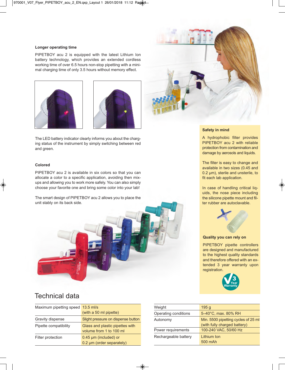#### **Longer operating time**

PIPETBOY acu 2 is equipped with the latest Lithium Ion battery technology, which provides an extended cordless working time of over 6.5 hours non-stop pipetting with a minimal charging time of only 3.5 hours without memory effect.





The LED battery indicator clearly informs you about the charging status of the instrument by simply switching between red and green.

#### **Colored**

PIPETBOY acu 2 is available in six colors so that you can allocate a color to a specific application, avoiding then mixups and allowing you to work more safely. You can also simply choose your favorite one and bring some color into your lab!

The smart design of PIPETBOY acu 2 allows you to place the unit stably on its back side.



### Technical data

| Maximum pipetting speed 13.5 ml/s |                                                            |  |
|-----------------------------------|------------------------------------------------------------|--|
|                                   | (with a 50 ml pipette)                                     |  |
| Gravity dispense                  | Slight pressure on dispense button                         |  |
| Pipette compatibility             | Glass and plastic pipettes with<br>volume from 1 to 100 ml |  |
| Filter protection                 | 0.45 µm (included) or<br>0.2 µm (order separately)         |  |



#### **Safety in mind**

A hydrophobic filter provides PIPETBOY acu 2 with reliable protection from contamination and damage by aerosols and liquids.

The filter is easy to change and available in two sizes (0.45 and 0.2 µm), sterile and unsterile, to fit each lab application.

In case of handling critical liquids, the nose piece including the silicone pipette mount and filter rubber are autoclavable.



#### **Quality you can rely on**

PIPETBOY pipette controllers are designed and manufactured to the highest quality standards and therefore offered with an extended 3 year warranty upon registration.



| Weight               | 195 <sub>g</sub>                                                    |
|----------------------|---------------------------------------------------------------------|
| Operating conditions | 5-40°C, max. 80% RH                                                 |
| Autonomy             | Min. 5500 pipetting cycles of 25 ml<br>(with fully charged battery) |
| Power requirements   | 100-240 VAC, 50/60 Hz                                               |
| Rechargeable battery | Lithium Ion<br>500 mAh                                              |